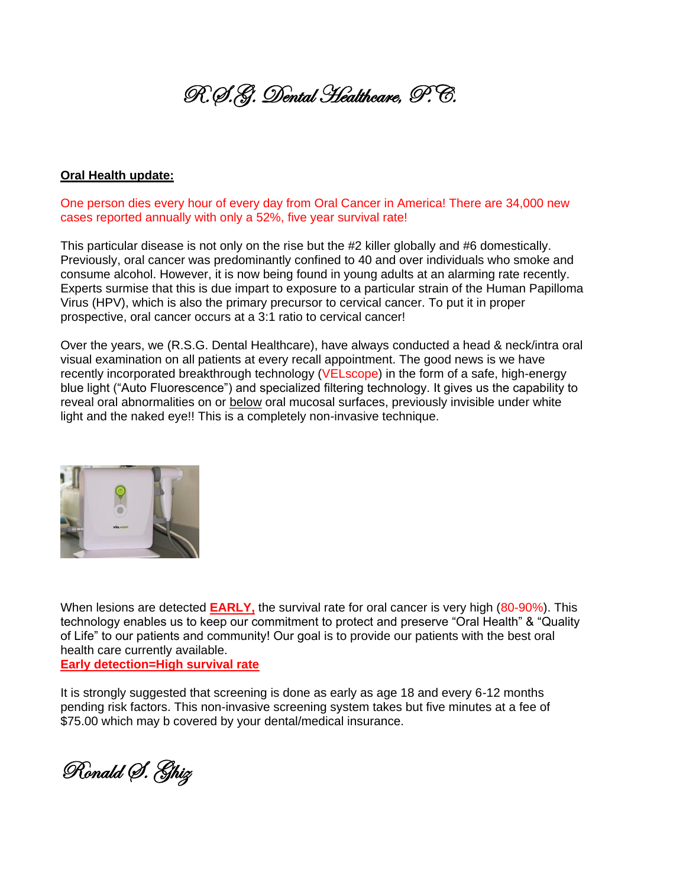R.S.G. Dental Healthcare, P.C.

## **Oral Health update:**

One person dies every hour of every day from Oral Cancer in America! There are 34,000 new cases reported annually with only a 52%, five year survival rate!

This particular disease is not only on the rise but the #2 killer globally and #6 domestically. Previously, oral cancer was predominantly confined to 40 and over individuals who smoke and consume alcohol. However, it is now being found in young adults at an alarming rate recently. Experts surmise that this is due impart to exposure to a particular strain of the Human Papilloma Virus (HPV), which is also the primary precursor to cervical cancer. To put it in proper prospective, oral cancer occurs at a 3:1 ratio to cervical cancer!

Over the years, we (R.S.G. Dental Healthcare), have always conducted a head & neck/intra oral visual examination on all patients at every recall appointment. The good news is we have recently incorporated breakthrough technology (VELscope) in the form of a safe, high-energy blue light ("Auto Fluorescence") and specialized filtering technology. It gives us the capability to reveal oral abnormalities on or below oral mucosal surfaces, previously invisible under white light and the naked eye!! This is a completely non-invasive technique.



When lesions are detected **EARLY,** the survival rate for oral cancer is very high (80-90%). This technology enables us to keep our commitment to protect and preserve "Oral Health" & "Quality of Life" to our patients and community! Our goal is to provide our patients with the best oral health care currently available.

**Early detection=High survival rate**

It is strongly suggested that screening is done as early as age 18 and every 6-12 months pending risk factors. This non-invasive screening system takes but five minutes at a fee of \$75.00 which may b covered by your dental/medical insurance.

Ronald S. Ghiz